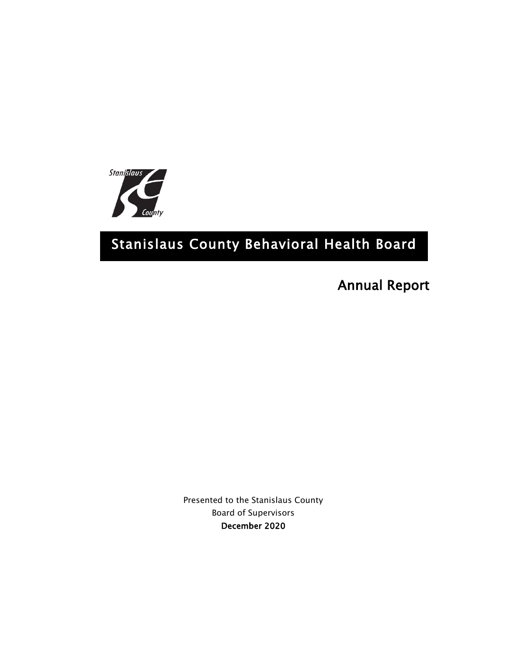

# Stanislaus County Behavioral Health Board

Annual Report

Presented to the Stanislaus County Board of Supervisors December 2020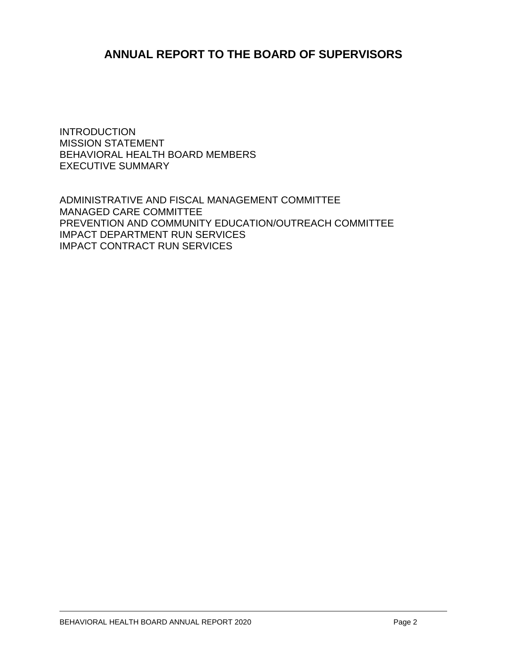## **ANNUAL REPORT TO THE BOARD OF SUPERVISORS**

INTRODUCTION MISSION STATEMENT BEHAVIORAL HEALTH BOARD MEMBERS EXECUTIVE SUMMARY

ADMINISTRATIVE AND FISCAL MANAGEMENT COMMITTEE MANAGED CARE COMMITTEE PREVENTION AND COMMUNITY EDUCATION/OUTREACH COMMITTEE IMPACT DEPARTMENT RUN SERVICES IMPACT CONTRACT RUN SERVICES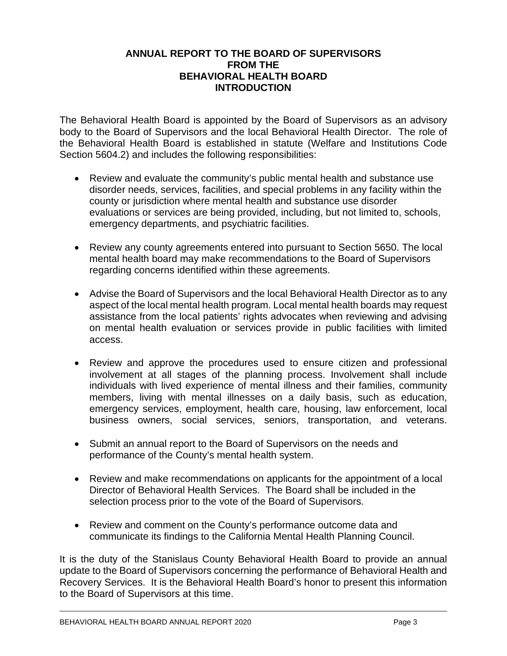#### **ANNUAL REPORT TO THE BOARD OF SUPERVISORS FROM THE BEHAVIORAL HEALTH BOARD INTRODUCTION**

The Behavioral Health Board is appointed by the Board of Supervisors as an advisory body to the Board of Supervisors and the local Behavioral Health Director. The role of the Behavioral Health Board is established in statute (Welfare and Institutions Code Section 5604.2) and includes the following responsibilities:

- Review and evaluate the community's public mental health and substance use disorder needs, services, facilities, and special problems in any facility within the county or jurisdiction where mental health and substance use disorder evaluations or services are being provided, including, but not limited to, schools, emergency departments, and psychiatric facilities.
- Review any county agreements entered into pursuant to Section 5650. The local mental health board may make recommendations to the Board of Supervisors regarding concerns identified within these agreements.
- Advise the Board of Supervisors and the local Behavioral Health Director as to any aspect of the local mental health program. Local mental health boards may request assistance from the local patients' rights advocates when reviewing and advising on mental health evaluation or services provide in public facilities with limited access.
- Review and approve the procedures used to ensure citizen and professional involvement at all stages of the planning process. Involvement shall include individuals with lived experience of mental illness and their families, community members, living with mental illnesses on a daily basis, such as education, emergency services, employment, health care, housing, law enforcement, local business owners, social services, seniors, transportation, and veterans.
- Submit an annual report to the Board of Supervisors on the needs and performance of the County's mental health system.
- Review and make recommendations on applicants for the appointment of a local Director of Behavioral Health Services. The Board shall be included in the selection process prior to the vote of the Board of Supervisors.
- Review and comment on the County's performance outcome data and communicate its findings to the California Mental Health Planning Council.

It is the duty of the Stanislaus County Behavioral Health Board to provide an annual update to the Board of Supervisors concerning the performance of Behavioral Health and Recovery Services. It is the Behavioral Health Board's honor to present this information to the Board of Supervisors at this time.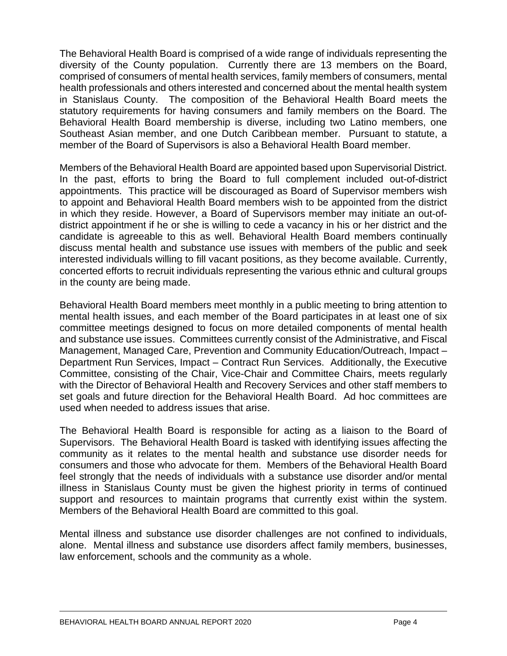The Behavioral Health Board is comprised of a wide range of individuals representing the diversity of the County population. Currently there are 13 members on the Board, comprised of consumers of mental health services, family members of consumers, mental health professionals and others interested and concerned about the mental health system in Stanislaus County. The composition of the Behavioral Health Board meets the statutory requirements for having consumers and family members on the Board. The Behavioral Health Board membership is diverse, including two Latino members, one Southeast Asian member, and one Dutch Caribbean member. Pursuant to statute, a member of the Board of Supervisors is also a Behavioral Health Board member.

Members of the Behavioral Health Board are appointed based upon Supervisorial District. In the past, efforts to bring the Board to full complement included out-of-district appointments. This practice will be discouraged as Board of Supervisor members wish to appoint and Behavioral Health Board members wish to be appointed from the district in which they reside. However, a Board of Supervisors member may initiate an out-ofdistrict appointment if he or she is willing to cede a vacancy in his or her district and the candidate is agreeable to this as well. Behavioral Health Board members continually discuss mental health and substance use issues with members of the public and seek interested individuals willing to fill vacant positions, as they become available. Currently, concerted efforts to recruit individuals representing the various ethnic and cultural groups in the county are being made.

Behavioral Health Board members meet monthly in a public meeting to bring attention to mental health issues, and each member of the Board participates in at least one of six committee meetings designed to focus on more detailed components of mental health and substance use issues. Committees currently consist of the Administrative, and Fiscal Management, Managed Care, Prevention and Community Education/Outreach, Impact – Department Run Services, Impact – Contract Run Services. Additionally, the Executive Committee, consisting of the Chair, Vice-Chair and Committee Chairs, meets regularly with the Director of Behavioral Health and Recovery Services and other staff members to set goals and future direction for the Behavioral Health Board. Ad hoc committees are used when needed to address issues that arise.

The Behavioral Health Board is responsible for acting as a liaison to the Board of Supervisors. The Behavioral Health Board is tasked with identifying issues affecting the community as it relates to the mental health and substance use disorder needs for consumers and those who advocate for them. Members of the Behavioral Health Board feel strongly that the needs of individuals with a substance use disorder and/or mental illness in Stanislaus County must be given the highest priority in terms of continued support and resources to maintain programs that currently exist within the system. Members of the Behavioral Health Board are committed to this goal.

Mental illness and substance use disorder challenges are not confined to individuals, alone. Mental illness and substance use disorders affect family members, businesses, law enforcement, schools and the community as a whole.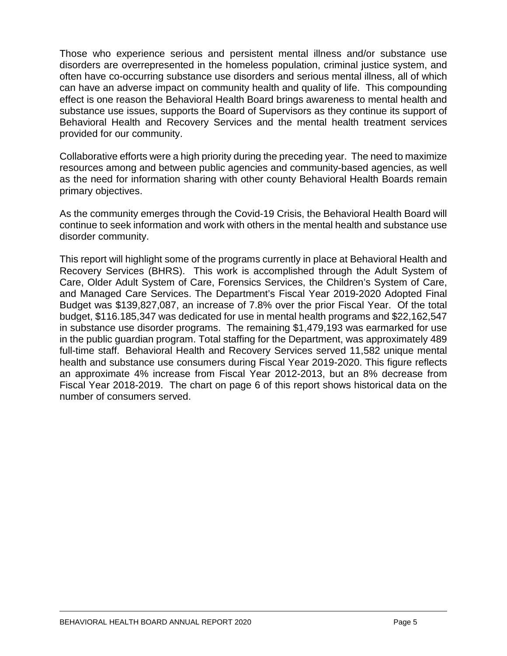Those who experience serious and persistent mental illness and/or substance use disorders are overrepresented in the homeless population, criminal justice system, and often have co-occurring substance use disorders and serious mental illness, all of which can have an adverse impact on community health and quality of life. This compounding effect is one reason the Behavioral Health Board brings awareness to mental health and substance use issues, supports the Board of Supervisors as they continue its support of Behavioral Health and Recovery Services and the mental health treatment services provided for our community.

Collaborative efforts were a high priority during the preceding year. The need to maximize resources among and between public agencies and community-based agencies, as well as the need for information sharing with other county Behavioral Health Boards remain primary objectives.

As the community emerges through the Covid-19 Crisis, the Behavioral Health Board will continue to seek information and work with others in the mental health and substance use disorder community.

This report will highlight some of the programs currently in place at Behavioral Health and Recovery Services (BHRS). This work is accomplished through the Adult System of Care, Older Adult System of Care, Forensics Services, the Children's System of Care, and Managed Care Services. The Department's Fiscal Year 2019-2020 Adopted Final Budget was \$139,827,087, an increase of 7.8% over the prior Fiscal Year. Of the total budget, \$116.185,347 was dedicated for use in mental health programs and \$22,162,547 in substance use disorder programs. The remaining \$1,479,193 was earmarked for use in the public guardian program. Total staffing for the Department, was approximately 489 full-time staff. Behavioral Health and Recovery Services served 11,582 unique mental health and substance use consumers during Fiscal Year 2019-2020. This figure reflects an approximate 4% increase from Fiscal Year 2012-2013, but an 8% decrease from Fiscal Year 2018-2019. The chart on page 6 of this report shows historical data on the number of consumers served.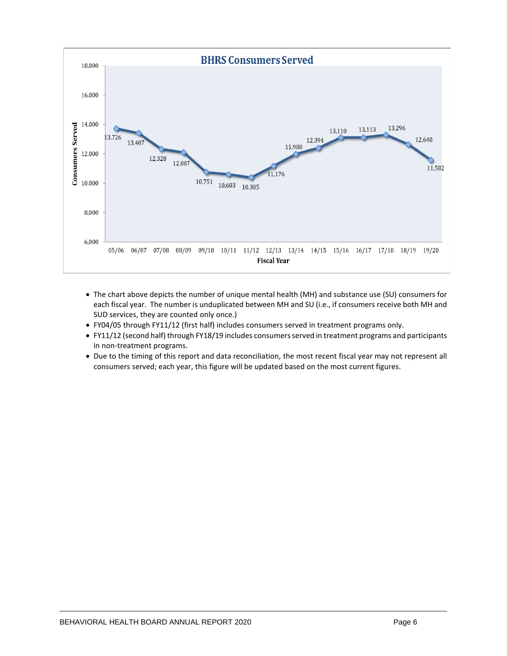

- The chart above depicts the number of unique mental health (MH) and substance use (SU) consumers for each fiscal year. The number is unduplicated between MH and SU (i.e., if consumers receive both MH and SUD services, they are counted only once.)
- FY04/05 through FY11/12 (first half) includes consumers served in treatment programs only.
- FY11/12 (second half) through FY18/19 includes consumers served in treatment programs and participants in non-treatment programs.
- Due to the timing of this report and data reconciliation, the most recent fiscal year may not represent all consumers served; each year, this figure will be updated based on the most current figures.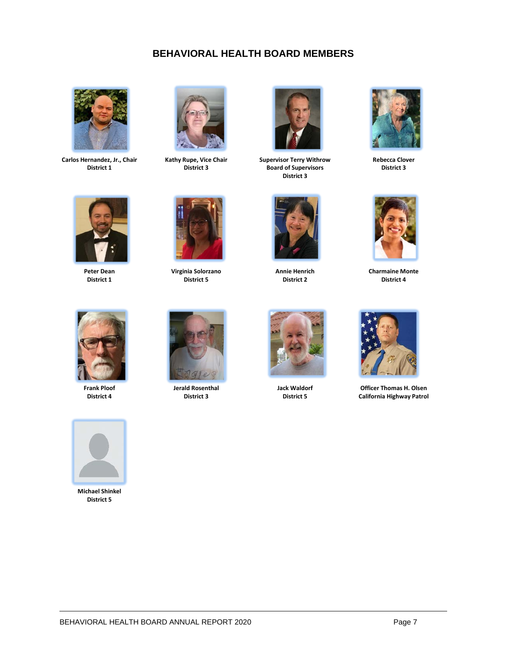## **BEHAVIORAL HEALTH BOARD MEMBERS**



**Carlos Hernandez, Jr., Chair District 1**



**Kathy Rupe, Vice Chair District 3**



**Supervisor Terry Withrow Board of Supervisors District 3**



**Rebecca Clover District 3**



**Peter Dean District 1**



**Virginia Solorzano District 5**



**Annie Henrich District 2**



**Charmaine Monte District 4**



**Frank Ploof District 4**



**Jerald Rosenthal District 3**



**Jack Waldorf District 5**



**Officer Thomas H. Olsen California Highway Patrol**



**Michael Shinkel District 5**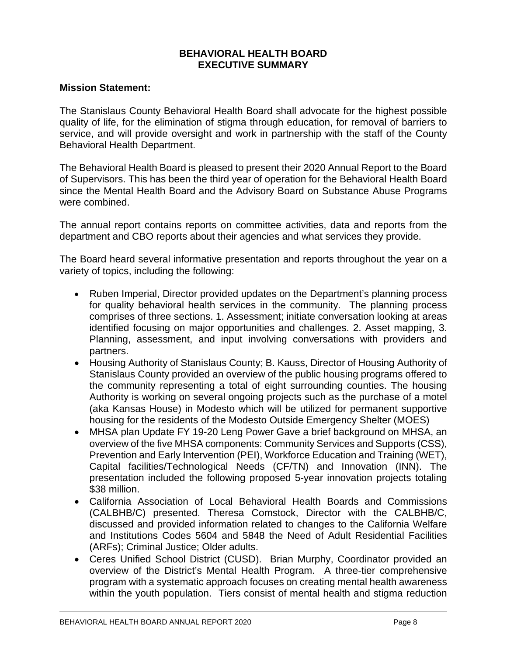#### **BEHAVIORAL HEALTH BOARD EXECUTIVE SUMMARY**

## **Mission Statement:**

The Stanislaus County Behavioral Health Board shall advocate for the highest possible quality of life, for the elimination of stigma through education, for removal of barriers to service, and will provide oversight and work in partnership with the staff of the County Behavioral Health Department.

The Behavioral Health Board is pleased to present their 2020 Annual Report to the Board of Supervisors. This has been the third year of operation for the Behavioral Health Board since the Mental Health Board and the Advisory Board on Substance Abuse Programs were combined.

The annual report contains reports on committee activities, data and reports from the department and CBO reports about their agencies and what services they provide.

The Board heard several informative presentation and reports throughout the year on a variety of topics, including the following:

- Ruben Imperial, Director provided updates on the Department's planning process for quality behavioral health services in the community. The planning process comprises of three sections. 1. Assessment; initiate conversation looking at areas identified focusing on major opportunities and challenges. 2. Asset mapping, 3. Planning, assessment, and input involving conversations with providers and partners.
- Housing Authority of Stanislaus County; B. Kauss, Director of Housing Authority of Stanislaus County provided an overview of the public housing programs offered to the community representing a total of eight surrounding counties. The housing Authority is working on several ongoing projects such as the purchase of a motel (aka Kansas House) in Modesto which will be utilized for permanent supportive housing for the residents of the Modesto Outside Emergency Shelter (MOES)
- MHSA plan Update FY 19-20 Leng Power Gave a brief background on MHSA, an overview of the five MHSA components: Community Services and Supports (CSS), Prevention and Early Intervention (PEI), Workforce Education and Training (WET), Capital facilities/Technological Needs (CF/TN) and Innovation (INN). The presentation included the following proposed 5-year innovation projects totaling \$38 million.
- California Association of Local Behavioral Health Boards and Commissions (CALBHB/C) presented. Theresa Comstock, Director with the CALBHB/C, discussed and provided information related to changes to the California Welfare and Institutions Codes 5604 and 5848 the Need of Adult Residential Facilities (ARFs); Criminal Justice; Older adults.
- Ceres Unified School District (CUSD). Brian Murphy, Coordinator provided an overview of the District's Mental Health Program. A three-tier comprehensive program with a systematic approach focuses on creating mental health awareness within the youth population. Tiers consist of mental health and stigma reduction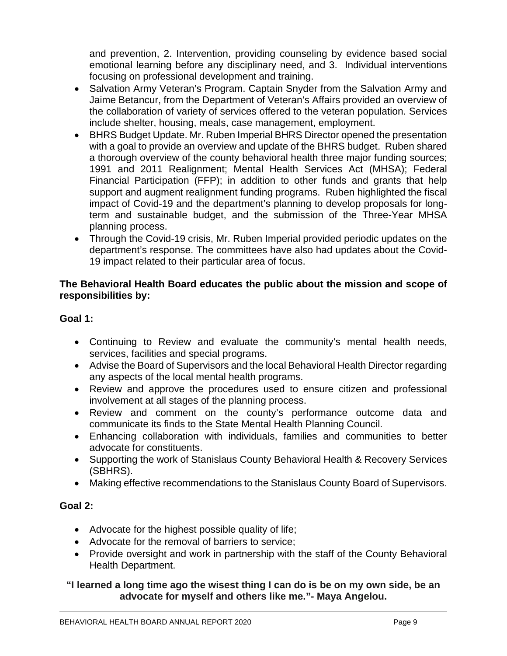and prevention, 2. Intervention, providing counseling by evidence based social emotional learning before any disciplinary need, and 3. Individual interventions focusing on professional development and training.

- Salvation Army Veteran's Program. Captain Snyder from the Salvation Army and Jaime Betancur, from the Department of Veteran's Affairs provided an overview of the collaboration of variety of services offered to the veteran population. Services include shelter, housing, meals, case management, employment.
- BHRS Budget Update. Mr. Ruben Imperial BHRS Director opened the presentation with a goal to provide an overview and update of the BHRS budget. Ruben shared a thorough overview of the county behavioral health three major funding sources; 1991 and 2011 Realignment; Mental Health Services Act (MHSA); Federal Financial Participation (FFP); in addition to other funds and grants that help support and augment realignment funding programs. Ruben highlighted the fiscal impact of Covid-19 and the department's planning to develop proposals for longterm and sustainable budget, and the submission of the Three-Year MHSA planning process.
- Through the Covid-19 crisis, Mr. Ruben Imperial provided periodic updates on the department's response. The committees have also had updates about the Covid-19 impact related to their particular area of focus.

## **The Behavioral Health Board educates the public about the mission and scope of responsibilities by:**

## **Goal 1:**

- Continuing to Review and evaluate the community's mental health needs, services, facilities and special programs.
- Advise the Board of Supervisors and the local Behavioral Health Director regarding any aspects of the local mental health programs.
- Review and approve the procedures used to ensure citizen and professional involvement at all stages of the planning process.
- Review and comment on the county's performance outcome data and communicate its finds to the State Mental Health Planning Council.
- Enhancing collaboration with individuals, families and communities to better advocate for constituents.
- Supporting the work of Stanislaus County Behavioral Health & Recovery Services (SBHRS).
- Making effective recommendations to the Stanislaus County Board of Supervisors.

## **Goal 2:**

- Advocate for the highest possible quality of life;
- Advocate for the removal of barriers to service;
- Provide oversight and work in partnership with the staff of the County Behavioral Health Department.

## **"I learned a long time ago the wisest thing I can do is be on my own side, be an advocate for myself and others like me."- Maya Angelou.**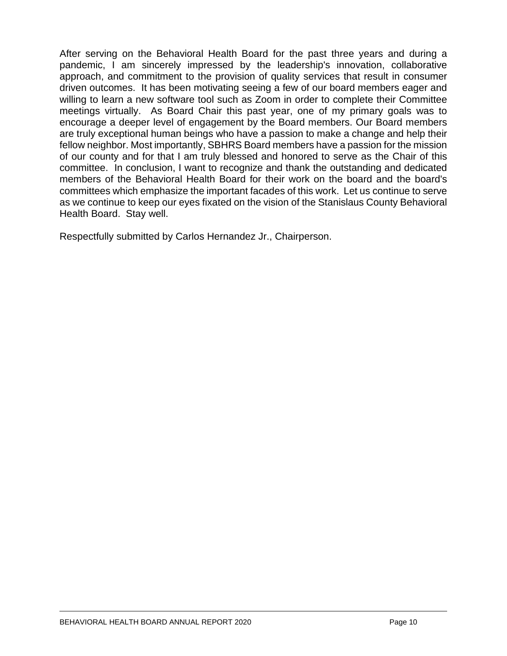After serving on the Behavioral Health Board for the past three years and during a pandemic, I am sincerely impressed by the leadership's innovation, collaborative approach, and commitment to the provision of quality services that result in consumer driven outcomes. It has been motivating seeing a few of our board members eager and willing to learn a new software tool such as Zoom in order to complete their Committee meetings virtually. As Board Chair this past year, one of my primary goals was to encourage a deeper level of engagement by the Board members. Our Board members are truly exceptional human beings who have a passion to make a change and help their fellow neighbor. Most importantly, SBHRS Board members have a passion for the mission of our county and for that I am truly blessed and honored to serve as the Chair of this committee. In conclusion, I want to recognize and thank the outstanding and dedicated members of the Behavioral Health Board for their work on the board and the board's committees which emphasize the important facades of this work. Let us continue to serve as we continue to keep our eyes fixated on the vision of the Stanislaus County Behavioral Health Board. Stay well.

Respectfully submitted by Carlos Hernandez Jr., Chairperson.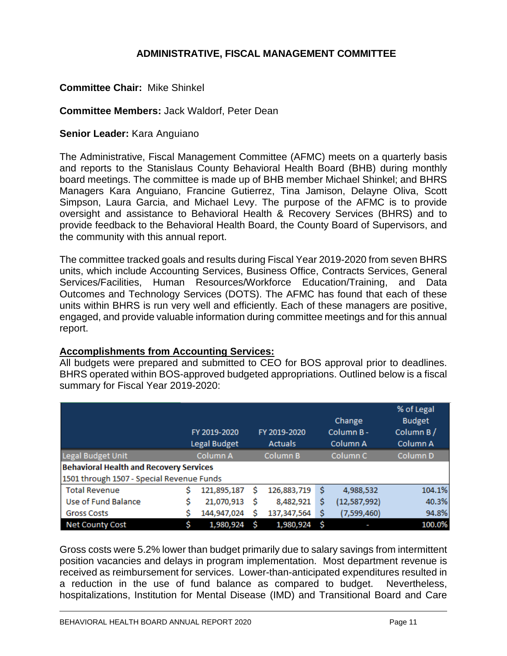## **ADMINISTRATIVE, FISCAL MANAGEMENT COMMITTEE**

## **Committee Chair:** Mike Shinkel

#### **Committee Members:** Jack Waldorf, Peter Dean

#### **Senior Leader:** Kara Anguiano

The Administrative, Fiscal Management Committee (AFMC) meets on a quarterly basis and reports to the Stanislaus County Behavioral Health Board (BHB) during monthly board meetings. The committee is made up of BHB member Michael Shinkel; and BHRS Managers Kara Anguiano, Francine Gutierrez, Tina Jamison, Delayne Oliva, Scott Simpson, Laura Garcia, and Michael Levy. The purpose of the AFMC is to provide oversight and assistance to Behavioral Health & Recovery Services (BHRS) and to provide feedback to the Behavioral Health Board, the County Board of Supervisors, and the community with this annual report.

The committee tracked goals and results during Fiscal Year 2019-2020 from seven BHRS units, which include Accounting Services, Business Office, Contracts Services, General Services/Facilities, Human Resources/Workforce Education/Training, and Data Outcomes and Technology Services (DOTS). The AFMC has found that each of these units within BHRS is run very well and efficiently. Each of these managers are positive, engaged, and provide valuable information during committee meetings and for this annual report.

## **Accomplishments from Accounting Services:**

All budgets were prepared and submitted to CEO for BOS approval prior to deadlines. BHRS operated within BOS-approved budgeted appropriations. Outlined below is a fiscal summary for Fiscal Year 2019-2020:

|                                                |    | FY 2019-2020 |   | FY 2019-2020   |     | Change<br>Column B- | % of Legal<br><b>Budget</b><br>Column B/ |
|------------------------------------------------|----|--------------|---|----------------|-----|---------------------|------------------------------------------|
|                                                |    | Legal Budget |   | <b>Actuals</b> |     | Column A            | Column A                                 |
| Legal Budget Unit                              |    | Column A     |   | Column B       |     | Column <sub>C</sub> | Column D                                 |
| <b>Behavioral Health and Recovery Services</b> |    |              |   |                |     |                     |                                          |
| 1501 through 1507 - Special Revenue Funds      |    |              |   |                |     |                     |                                          |
| <b>Total Revenue</b>                           | S  | 121,895,187  |   | 126,883,719    | s   | 4,988,532           | 104.1%                                   |
| Use of Fund Balance                            | \$ | 21,070,913   | s | 8,482,921      | \$  | (12,587,992)        | 40.3%                                    |
| <b>Gross Costs</b>                             | s  | 144,947,024  |   | 137,347,564    | Ś   | (7,599,460)         | 94.8%                                    |
| <b>Net County Cost</b>                         | \$ | 1,980,924    |   | 1,980,924      | -\$ |                     | 100.0%                                   |

Gross costs were 5.2% lower than budget primarily due to salary savings from intermittent position vacancies and delays in program implementation. Most department revenue is received as reimbursement for services. Lower-than-anticipated expenditures resulted in a reduction in the use of fund balance as compared to budget. Nevertheless, hospitalizations, Institution for Mental Disease (IMD) and Transitional Board and Care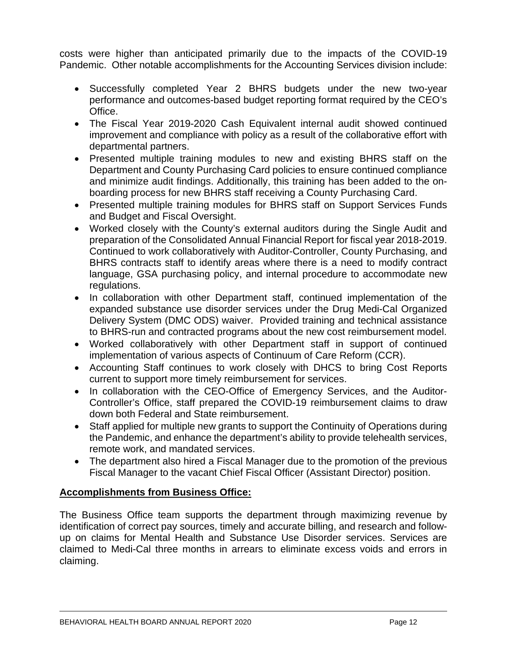costs were higher than anticipated primarily due to the impacts of the COVID-19 Pandemic. Other notable accomplishments for the Accounting Services division include:

- Successfully completed Year 2 BHRS budgets under the new two-year performance and outcomes-based budget reporting format required by the CEO's Office.
- The Fiscal Year 2019-2020 Cash Equivalent internal audit showed continued improvement and compliance with policy as a result of the collaborative effort with departmental partners.
- Presented multiple training modules to new and existing BHRS staff on the Department and County Purchasing Card policies to ensure continued compliance and minimize audit findings. Additionally, this training has been added to the onboarding process for new BHRS staff receiving a County Purchasing Card.
- Presented multiple training modules for BHRS staff on Support Services Funds and Budget and Fiscal Oversight.
- Worked closely with the County's external auditors during the Single Audit and preparation of the Consolidated Annual Financial Report for fiscal year 2018-2019. Continued to work collaboratively with Auditor-Controller, County Purchasing, and BHRS contracts staff to identify areas where there is a need to modify contract language, GSA purchasing policy, and internal procedure to accommodate new regulations.
- In collaboration with other Department staff, continued implementation of the expanded substance use disorder services under the Drug Medi-Cal Organized Delivery System (DMC ODS) waiver. Provided training and technical assistance to BHRS-run and contracted programs about the new cost reimbursement model.
- Worked collaboratively with other Department staff in support of continued implementation of various aspects of Continuum of Care Reform (CCR).
- Accounting Staff continues to work closely with DHCS to bring Cost Reports current to support more timely reimbursement for services.
- In collaboration with the CEO-Office of Emergency Services, and the Auditor-Controller's Office, staff prepared the COVID-19 reimbursement claims to draw down both Federal and State reimbursement.
- Staff applied for multiple new grants to support the Continuity of Operations during the Pandemic, and enhance the department's ability to provide telehealth services, remote work, and mandated services.
- The department also hired a Fiscal Manager due to the promotion of the previous Fiscal Manager to the vacant Chief Fiscal Officer (Assistant Director) position.

## **Accomplishments from Business Office:**

The Business Office team supports the department through maximizing revenue by identification of correct pay sources, timely and accurate billing, and research and followup on claims for Mental Health and Substance Use Disorder services. Services are claimed to Medi-Cal three months in arrears to eliminate excess voids and errors in claiming.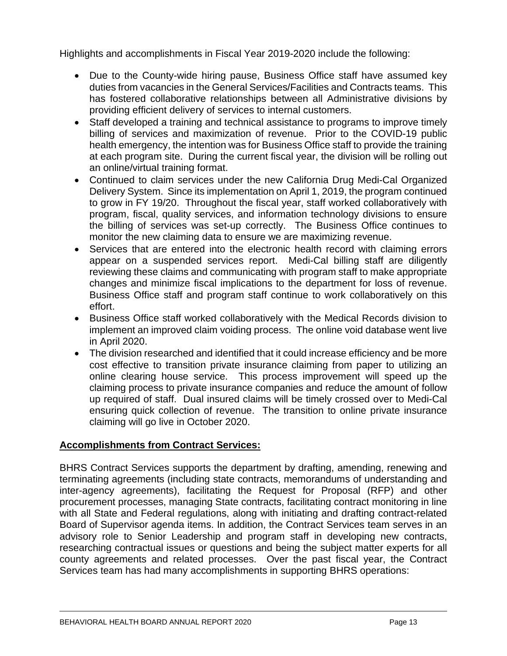Highlights and accomplishments in Fiscal Year 2019-2020 include the following:

- Due to the County-wide hiring pause, Business Office staff have assumed key duties from vacancies in the General Services/Facilities and Contracts teams. This has fostered collaborative relationships between all Administrative divisions by providing efficient delivery of services to internal customers.
- Staff developed a training and technical assistance to programs to improve timely billing of services and maximization of revenue. Prior to the COVID-19 public health emergency, the intention was for Business Office staff to provide the training at each program site. During the current fiscal year, the division will be rolling out an online/virtual training format.
- Continued to claim services under the new California Drug Medi-Cal Organized Delivery System. Since its implementation on April 1, 2019, the program continued to grow in FY 19/20. Throughout the fiscal year, staff worked collaboratively with program, fiscal, quality services, and information technology divisions to ensure the billing of services was set-up correctly. The Business Office continues to monitor the new claiming data to ensure we are maximizing revenue.
- Services that are entered into the electronic health record with claiming errors appear on a suspended services report. Medi-Cal billing staff are diligently reviewing these claims and communicating with program staff to make appropriate changes and minimize fiscal implications to the department for loss of revenue. Business Office staff and program staff continue to work collaboratively on this effort.
- Business Office staff worked collaboratively with the Medical Records division to implement an improved claim voiding process. The online void database went live in April 2020.
- The division researched and identified that it could increase efficiency and be more cost effective to transition private insurance claiming from paper to utilizing an online clearing house service. This process improvement will speed up the claiming process to private insurance companies and reduce the amount of follow up required of staff. Dual insured claims will be timely crossed over to Medi-Cal ensuring quick collection of revenue. The transition to online private insurance claiming will go live in October 2020.

## **Accomplishments from Contract Services:**

BHRS Contract Services supports the department by drafting, amending, renewing and terminating agreements (including state contracts, memorandums of understanding and inter-agency agreements), facilitating the Request for Proposal (RFP) and other procurement processes, managing State contracts, facilitating contract monitoring in line with all State and Federal regulations, along with initiating and drafting contract-related Board of Supervisor agenda items. In addition, the Contract Services team serves in an advisory role to Senior Leadership and program staff in developing new contracts, researching contractual issues or questions and being the subject matter experts for all county agreements and related processes. Over the past fiscal year, the Contract Services team has had many accomplishments in supporting BHRS operations: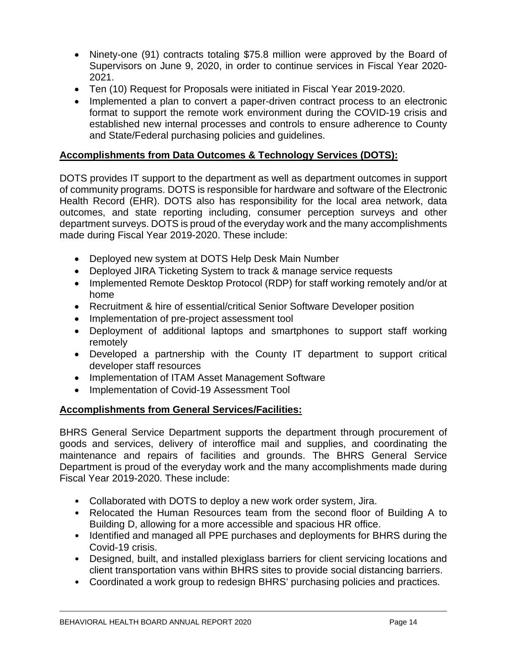- Ninety-one (91) contracts totaling \$75.8 million were approved by the Board of Supervisors on June 9, 2020, in order to continue services in Fiscal Year 2020- 2021.
- Ten (10) Request for Proposals were initiated in Fiscal Year 2019-2020.
- Implemented a plan to convert a paper-driven contract process to an electronic format to support the remote work environment during the COVID-19 crisis and established new internal processes and controls to ensure adherence to County and State/Federal purchasing policies and guidelines.

## **Accomplishments from Data Outcomes & Technology Services (DOTS):**

DOTS provides IT support to the department as well as department outcomes in support of community programs. DOTS is responsible for hardware and software of the Electronic Health Record (EHR). DOTS also has responsibility for the local area network, data outcomes, and state reporting including, consumer perception surveys and other department surveys. DOTS is proud of the everyday work and the many accomplishments made during Fiscal Year 2019-2020. These include:

- Deployed new system at DOTS Help Desk Main Number
- Deployed JIRA Ticketing System to track & manage service requests
- Implemented Remote Desktop Protocol (RDP) for staff working remotely and/or at home
- Recruitment & hire of essential/critical Senior Software Developer position
- Implementation of pre-project assessment tool
- Deployment of additional laptops and smartphones to support staff working remotely
- Developed a partnership with the County IT department to support critical developer staff resources
- Implementation of ITAM Asset Management Software
- Implementation of Covid-19 Assessment Tool

## **Accomplishments from General Services/Facilities:**

BHRS General Service Department supports the department through procurement of goods and services, delivery of interoffice mail and supplies, and coordinating the maintenance and repairs of facilities and grounds. The BHRS General Service Department is proud of the everyday work and the many accomplishments made during Fiscal Year 2019-2020. These include:

- Collaborated with DOTS to deploy a new work order system, Jira.
- Relocated the Human Resources team from the second floor of Building A to Building D, allowing for a more accessible and spacious HR office.
- Identified and managed all PPE purchases and deployments for BHRS during the Covid-19 crisis.
- Designed, built, and installed plexiglass barriers for client servicing locations and client transportation vans within BHRS sites to provide social distancing barriers.
- Coordinated a work group to redesign BHRS' purchasing policies and practices.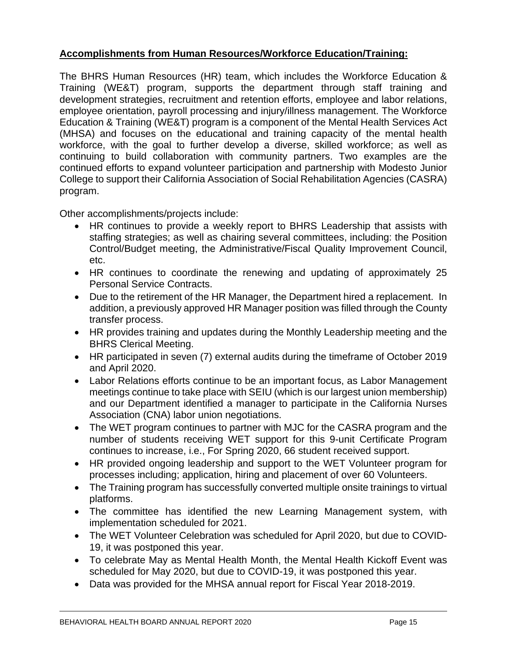## **Accomplishments from Human Resources/Workforce Education/Training:**

The BHRS Human Resources (HR) team, which includes the Workforce Education & Training (WE&T) program, supports the department through staff training and development strategies, recruitment and retention efforts, employee and labor relations, employee orientation, payroll processing and injury/illness management. The Workforce Education & Training (WE&T) program is a component of the Mental Health Services Act (MHSA) and focuses on the educational and training capacity of the mental health workforce, with the goal to further develop a diverse, skilled workforce; as well as continuing to build collaboration with community partners. Two examples are the continued efforts to expand volunteer participation and partnership with Modesto Junior College to support their California Association of Social Rehabilitation Agencies (CASRA) program.

Other accomplishments/projects include:

- HR continues to provide a weekly report to BHRS Leadership that assists with staffing strategies; as well as chairing several committees, including: the Position Control/Budget meeting, the Administrative/Fiscal Quality Improvement Council, etc.
- HR continues to coordinate the renewing and updating of approximately 25 Personal Service Contracts.
- Due to the retirement of the HR Manager, the Department hired a replacement. In addition, a previously approved HR Manager position was filled through the County transfer process.
- HR provides training and updates during the Monthly Leadership meeting and the BHRS Clerical Meeting.
- HR participated in seven (7) external audits during the timeframe of October 2019 and April 2020.
- Labor Relations efforts continue to be an important focus, as Labor Management meetings continue to take place with SEIU (which is our largest union membership) and our Department identified a manager to participate in the California Nurses Association (CNA) labor union negotiations.
- The WET program continues to partner with MJC for the CASRA program and the number of students receiving WET support for this 9-unit Certificate Program continues to increase, i.e., For Spring 2020, 66 student received support.
- HR provided ongoing leadership and support to the WET Volunteer program for processes including; application, hiring and placement of over 60 Volunteers.
- The Training program has successfully converted multiple onsite trainings to virtual platforms.
- The committee has identified the new Learning Management system, with implementation scheduled for 2021.
- The WET Volunteer Celebration was scheduled for April 2020, but due to COVID-19, it was postponed this year.
- To celebrate May as Mental Health Month, the Mental Health Kickoff Event was scheduled for May 2020, but due to COVID-19, it was postponed this year.
- Data was provided for the MHSA annual report for Fiscal Year 2018-2019.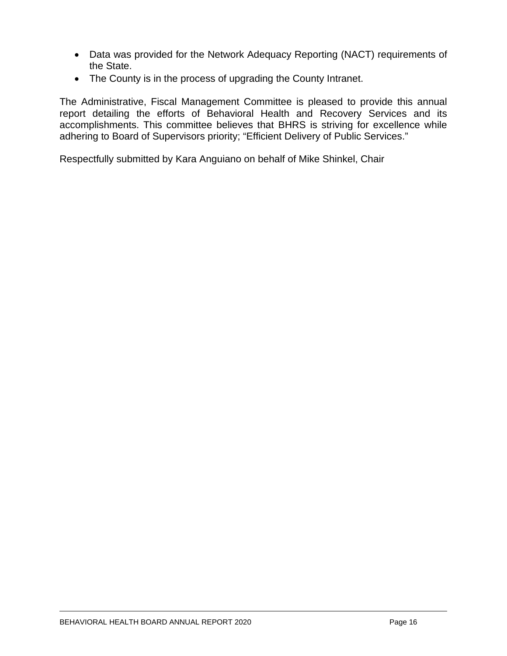- Data was provided for the Network Adequacy Reporting (NACT) requirements of the State.
- The County is in the process of upgrading the County Intranet.

The Administrative, Fiscal Management Committee is pleased to provide this annual report detailing the efforts of Behavioral Health and Recovery Services and its accomplishments. This committee believes that BHRS is striving for excellence while adhering to Board of Supervisors priority; "Efficient Delivery of Public Services."

Respectfully submitted by Kara Anguiano on behalf of Mike Shinkel, Chair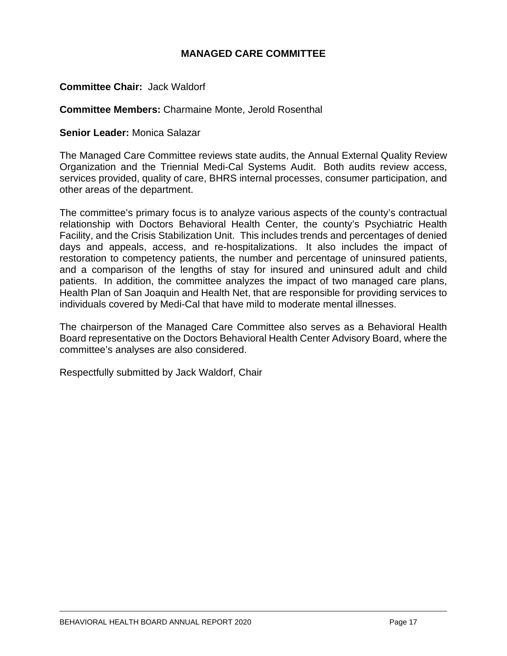## **MANAGED CARE COMMITTEE**

## **Committee Chair:** Jack Waldorf

#### **Committee Members:** Charmaine Monte, Jerold Rosenthal

#### **Senior Leader:** Monica Salazar

The Managed Care Committee reviews state audits, the Annual External Quality Review Organization and the Triennial Medi-Cal Systems Audit. Both audits review access, services provided, quality of care, BHRS internal processes, consumer participation, and other areas of the department.

The committee's primary focus is to analyze various aspects of the county's contractual relationship with Doctors Behavioral Health Center, the county's Psychiatric Health Facility, and the Crisis Stabilization Unit. This includes trends and percentages of denied days and appeals, access, and re-hospitalizations. It also includes the impact of restoration to competency patients, the number and percentage of uninsured patients, and a comparison of the lengths of stay for insured and uninsured adult and child patients. In addition, the committee analyzes the impact of two managed care plans, Health Plan of San Joaquin and Health Net, that are responsible for providing services to individuals covered by Medi-Cal that have mild to moderate mental illnesses.

The chairperson of the Managed Care Committee also serves as a Behavioral Health Board representative on the Doctors Behavioral Health Center Advisory Board, where the committee's analyses are also considered.

Respectfully submitted by Jack Waldorf, Chair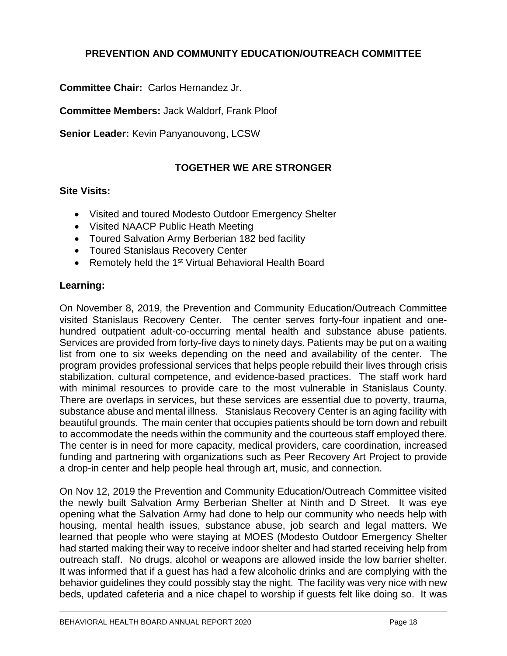## **PREVENTION AND COMMUNITY EDUCATION/OUTREACH COMMITTEE**

**Committee Chair:** Carlos Hernandez Jr.

**Committee Members:** Jack Waldorf, Frank Ploof

**Senior Leader:** Kevin Panyanouvong, LCSW

## **TOGETHER WE ARE STRONGER**

## **Site Visits:**

- Visited and toured Modesto Outdoor Emergency Shelter
- Visited NAACP Public Heath Meeting
- Toured Salvation Army Berberian 182 bed facility
- Toured Stanislaus Recovery Center
- Remotely held the 1<sup>st</sup> Virtual Behavioral Health Board

## **Learning:**

On November 8, 2019, the Prevention and Community Education/Outreach Committee visited Stanislaus Recovery Center. The center serves forty-four inpatient and onehundred outpatient adult-co-occurring mental health and substance abuse patients. Services are provided from forty-five days to ninety days. Patients may be put on a waiting list from one to six weeks depending on the need and availability of the center. The program provides professional services that helps people rebuild their lives through crisis stabilization, cultural competence, and evidence-based practices. The staff work hard with minimal resources to provide care to the most vulnerable in Stanislaus County. There are overlaps in services, but these services are essential due to poverty, trauma, substance abuse and mental illness. Stanislaus Recovery Center is an aging facility with beautiful grounds. The main center that occupies patients should be torn down and rebuilt to accommodate the needs within the community and the courteous staff employed there. The center is in need for more capacity, medical providers, care coordination, increased funding and partnering with organizations such as Peer Recovery Art Project to provide a drop-in center and help people heal through art, music, and connection.

On Nov 12, 2019 the Prevention and Community Education/Outreach Committee visited the newly built Salvation Army Berberian Shelter at Ninth and D Street. It was eye opening what the Salvation Army had done to help our community who needs help with housing, mental health issues, substance abuse, job search and legal matters. We learned that people who were staying at MOES (Modesto Outdoor Emergency Shelter had started making their way to receive indoor shelter and had started receiving help from outreach staff. No drugs, alcohol or weapons are allowed inside the low barrier shelter. It was informed that if a guest has had a few alcoholic drinks and are complying with the behavior guidelines they could possibly stay the night. The facility was very nice with new beds, updated cafeteria and a nice chapel to worship if guests felt like doing so. It was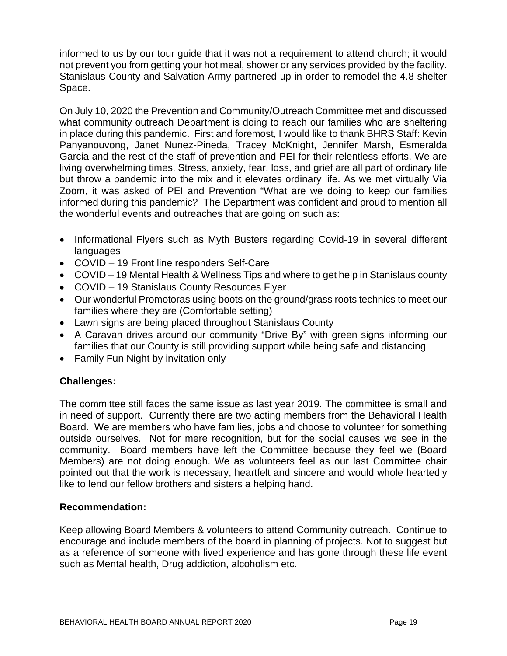informed to us by our tour guide that it was not a requirement to attend church; it would not prevent you from getting your hot meal, shower or any services provided by the facility. Stanislaus County and Salvation Army partnered up in order to remodel the 4.8 shelter Space.

On July 10, 2020 the Prevention and Community/Outreach Committee met and discussed what community outreach Department is doing to reach our families who are sheltering in place during this pandemic. First and foremost, I would like to thank BHRS Staff: Kevin Panyanouvong, Janet Nunez-Pineda, Tracey McKnight, Jennifer Marsh, Esmeralda Garcia and the rest of the staff of prevention and PEI for their relentless efforts. We are living overwhelming times. Stress, anxiety, fear, loss, and grief are all part of ordinary life but throw a pandemic into the mix and it elevates ordinary life. As we met virtually Via Zoom, it was asked of PEI and Prevention "What are we doing to keep our families informed during this pandemic? The Department was confident and proud to mention all the wonderful events and outreaches that are going on such as:

- Informational Flyers such as Myth Busters regarding Covid-19 in several different languages
- COVID 19 Front line responders Self-Care
- COVID 19 Mental Health & Wellness Tips and where to get help in Stanislaus county
- COVID 19 Stanislaus County Resources Flyer
- Our wonderful Promotoras using boots on the ground/grass roots technics to meet our families where they are (Comfortable setting)
- Lawn signs are being placed throughout Stanislaus County
- A Caravan drives around our community "Drive By" with green signs informing our families that our County is still providing support while being safe and distancing
- Family Fun Night by invitation only

## **Challenges:**

The committee still faces the same issue as last year 2019. The committee is small and in need of support. Currently there are two acting members from the Behavioral Health Board. We are members who have families, jobs and choose to volunteer for something outside ourselves. Not for mere recognition, but for the social causes we see in the community. Board members have left the Committee because they feel we (Board Members) are not doing enough. We as volunteers feel as our last Committee chair pointed out that the work is necessary, heartfelt and sincere and would whole heartedly like to lend our fellow brothers and sisters a helping hand.

## **Recommendation:**

Keep allowing Board Members & volunteers to attend Community outreach. Continue to encourage and include members of the board in planning of projects. Not to suggest but as a reference of someone with lived experience and has gone through these life event such as Mental health, Drug addiction, alcoholism etc.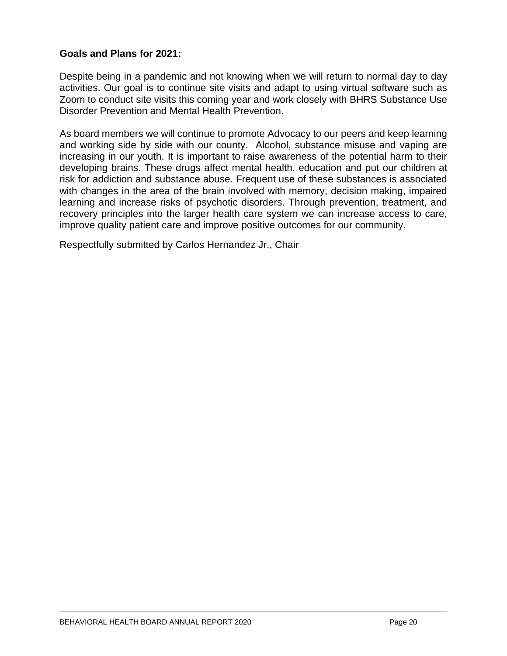## **Goals and Plans for 2021:**

Despite being in a pandemic and not knowing when we will return to normal day to day activities. Our goal is to continue site visits and adapt to using virtual software such as Zoom to conduct site visits this coming year and work closely with BHRS Substance Use Disorder Prevention and Mental Health Prevention.

As board members we will continue to promote Advocacy to our peers and keep learning and working side by side with our county. Alcohol, substance misuse and vaping are increasing in our youth. It is important to raise awareness of the potential harm to their developing brains. These drugs affect mental health, education and put our children at risk for addiction and substance abuse. Frequent use of these substances is associated with changes in the area of the brain involved with memory, decision making, impaired learning and increase risks of psychotic disorders. Through prevention, treatment, and recovery principles into the larger health care system we can increase access to care, improve quality patient care and improve positive outcomes for our community.

Respectfully submitted by Carlos Hernandez Jr., Chair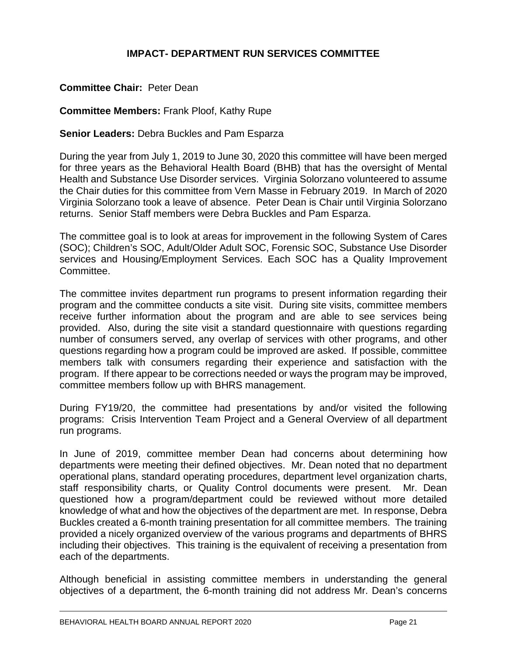## **IMPACT- DEPARTMENT RUN SERVICES COMMITTEE**

## **Committee Chair:** Peter Dean

**Committee Members:** Frank Ploof, Kathy Rupe

#### **Senior Leaders:** Debra Buckles and Pam Esparza

During the year from July 1, 2019 to June 30, 2020 this committee will have been merged for three years as the Behavioral Health Board (BHB) that has the oversight of Mental Health and Substance Use Disorder services. Virginia Solorzano volunteered to assume the Chair duties for this committee from Vern Masse in February 2019. In March of 2020 Virginia Solorzano took a leave of absence. Peter Dean is Chair until Virginia Solorzano returns. Senior Staff members were Debra Buckles and Pam Esparza.

The committee goal is to look at areas for improvement in the following System of Cares (SOC); Children's SOC, Adult/Older Adult SOC, Forensic SOC, Substance Use Disorder services and Housing/Employment Services. Each SOC has a Quality Improvement Committee.

The committee invites department run programs to present information regarding their program and the committee conducts a site visit. During site visits, committee members receive further information about the program and are able to see services being provided. Also, during the site visit a standard questionnaire with questions regarding number of consumers served, any overlap of services with other programs, and other questions regarding how a program could be improved are asked. If possible, committee members talk with consumers regarding their experience and satisfaction with the program. If there appear to be corrections needed or ways the program may be improved, committee members follow up with BHRS management.

During FY19/20, the committee had presentations by and/or visited the following programs: Crisis Intervention Team Project and a General Overview of all department run programs.

In June of 2019, committee member Dean had concerns about determining how departments were meeting their defined objectives. Mr. Dean noted that no department operational plans, standard operating procedures, department level organization charts, staff responsibility charts, or Quality Control documents were present. Mr. Dean questioned how a program/department could be reviewed without more detailed knowledge of what and how the objectives of the department are met. In response, Debra Buckles created a 6-month training presentation for all committee members. The training provided a nicely organized overview of the various programs and departments of BHRS including their objectives. This training is the equivalent of receiving a presentation from each of the departments.

Although beneficial in assisting committee members in understanding the general objectives of a department, the 6-month training did not address Mr. Dean's concerns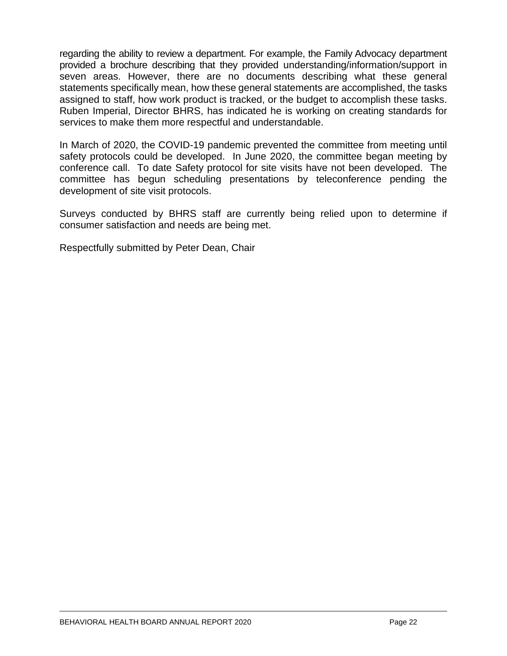regarding the ability to review a department. For example, the Family Advocacy department provided a brochure describing that they provided understanding/information/support in seven areas. However, there are no documents describing what these general statements specifically mean, how these general statements are accomplished, the tasks assigned to staff, how work product is tracked, or the budget to accomplish these tasks. Ruben Imperial, Director BHRS, has indicated he is working on creating standards for services to make them more respectful and understandable.

In March of 2020, the COVID-19 pandemic prevented the committee from meeting until safety protocols could be developed. In June 2020, the committee began meeting by conference call. To date Safety protocol for site visits have not been developed. The committee has begun scheduling presentations by teleconference pending the development of site visit protocols.

Surveys conducted by BHRS staff are currently being relied upon to determine if consumer satisfaction and needs are being met.

Respectfully submitted by Peter Dean, Chair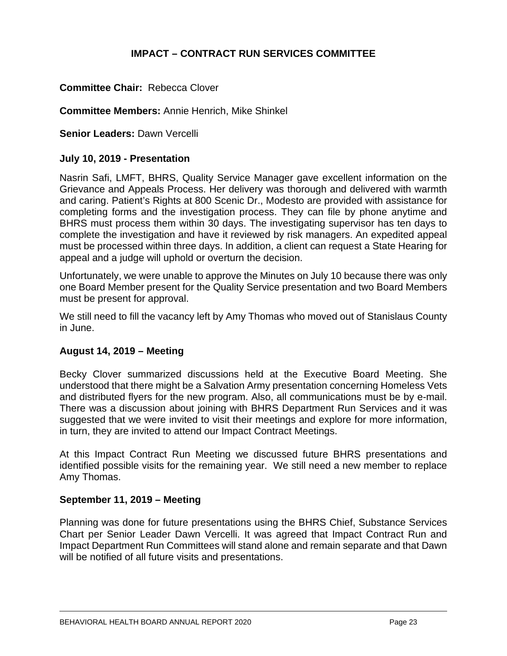## **IMPACT – CONTRACT RUN SERVICES COMMITTEE**

#### **Committee Chair:** Rebecca Clover

#### **Committee Members:** Annie Henrich, Mike Shinkel

**Senior Leaders:** Dawn Vercelli

#### **July 10, 2019 - Presentation**

Nasrin Safi, LMFT, BHRS, Quality Service Manager gave excellent information on the Grievance and Appeals Process. Her delivery was thorough and delivered with warmth and caring. Patient's Rights at 800 Scenic Dr., Modesto are provided with assistance for completing forms and the investigation process. They can file by phone anytime and BHRS must process them within 30 days. The investigating supervisor has ten days to complete the investigation and have it reviewed by risk managers. An expedited appeal must be processed within three days. In addition, a client can request a State Hearing for appeal and a judge will uphold or overturn the decision.

Unfortunately, we were unable to approve the Minutes on July 10 because there was only one Board Member present for the Quality Service presentation and two Board Members must be present for approval.

We still need to fill the vacancy left by Amy Thomas who moved out of Stanislaus County in June.

## **August 14, 2019 – Meeting**

Becky Clover summarized discussions held at the Executive Board Meeting. She understood that there might be a Salvation Army presentation concerning Homeless Vets and distributed flyers for the new program. Also, all communications must be by e-mail. There was a discussion about joining with BHRS Department Run Services and it was suggested that we were invited to visit their meetings and explore for more information, in turn, they are invited to attend our Impact Contract Meetings.

At this Impact Contract Run Meeting we discussed future BHRS presentations and identified possible visits for the remaining year. We still need a new member to replace Amy Thomas.

#### **September 11, 2019 – Meeting**

Planning was done for future presentations using the BHRS Chief, Substance Services Chart per Senior Leader Dawn Vercelli. It was agreed that Impact Contract Run and Impact Department Run Committees will stand alone and remain separate and that Dawn will be notified of all future visits and presentations.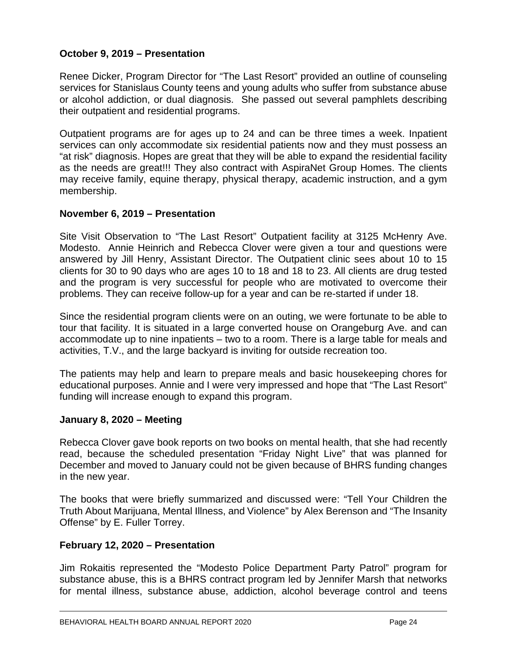## **October 9, 2019 – Presentation**

Renee Dicker, Program Director for "The Last Resort" provided an outline of counseling services for Stanislaus County teens and young adults who suffer from substance abuse or alcohol addiction, or dual diagnosis. She passed out several pamphlets describing their outpatient and residential programs.

Outpatient programs are for ages up to 24 and can be three times a week. Inpatient services can only accommodate six residential patients now and they must possess an "at risk" diagnosis. Hopes are great that they will be able to expand the residential facility as the needs are great!!! They also contract with AspiraNet Group Homes. The clients may receive family, equine therapy, physical therapy, academic instruction, and a gym membership.

## **November 6, 2019 – Presentation**

Site Visit Observation to "The Last Resort" Outpatient facility at 3125 McHenry Ave. Modesto. Annie Heinrich and Rebecca Clover were given a tour and questions were answered by Jill Henry, Assistant Director. The Outpatient clinic sees about 10 to 15 clients for 30 to 90 days who are ages 10 to 18 and 18 to 23. All clients are drug tested and the program is very successful for people who are motivated to overcome their problems. They can receive follow-up for a year and can be re-started if under 18.

Since the residential program clients were on an outing, we were fortunate to be able to tour that facility. It is situated in a large converted house on Orangeburg Ave. and can accommodate up to nine inpatients – two to a room. There is a large table for meals and activities, T.V., and the large backyard is inviting for outside recreation too.

The patients may help and learn to prepare meals and basic housekeeping chores for educational purposes. Annie and I were very impressed and hope that "The Last Resort" funding will increase enough to expand this program.

## **January 8, 2020 – Meeting**

Rebecca Clover gave book reports on two books on mental health, that she had recently read, because the scheduled presentation "Friday Night Live" that was planned for December and moved to January could not be given because of BHRS funding changes in the new year.

The books that were briefly summarized and discussed were: "Tell Your Children the Truth About Marijuana, Mental Illness, and Violence" by Alex Berenson and "The Insanity Offense" by E. Fuller Torrey.

## **February 12, 2020 – Presentation**

Jim Rokaitis represented the "Modesto Police Department Party Patrol" program for substance abuse, this is a BHRS contract program led by Jennifer Marsh that networks for mental illness, substance abuse, addiction, alcohol beverage control and teens